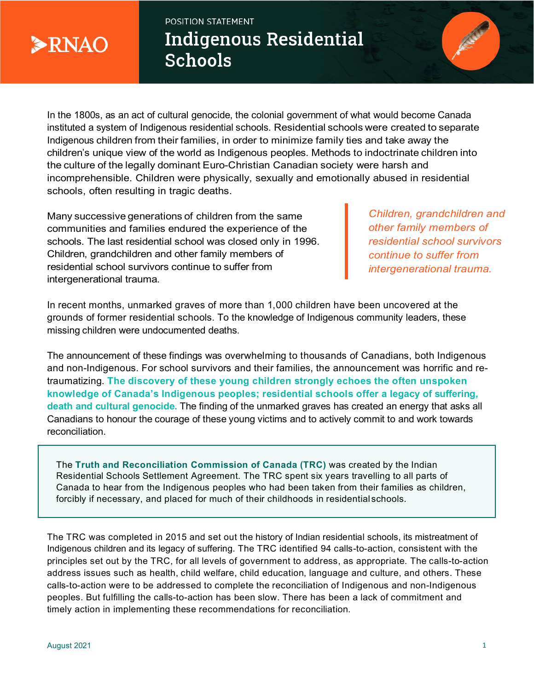

POSITION STATEMENT **Indigenous Residential Schools** 



In the 1800s, as an act of cultural genocide, the colonial government of what would become Canada instituted a system of Indigenous residential schools. Residential schools were created to separate Indigenous children from their families, in order to minimize family ties and take away the children's unique view of the world as Indigenous peoples. Methods to indoctrinate children into the culture of the legally dominant Euro-Christian Canadian society were harsh and incomprehensible. Children were physically, sexually and emotionally abused in residential schools, often resulting in tragic deaths.

Many successive generations of children from the same communities and families endured the experience of the schools. The last residential school was closed only in 1996. Children, grandchildren and other family members of residential school survivors continue to suffer from intergenerational trauma.

*Children, grandchildren and other family members of residential school survivors continue to suffer from intergenerational trauma.* 

In recent months, unmarked graves of more than 1,000 children have been uncovered at the grounds of former residential schools. To the knowledge of Indigenous community leaders, these missing children were undocumented deaths.

The announcement of these findings was overwhelming to thousands of Canadians, both Indigenous and non-Indigenous. For school survivors and their families, the announcement was horrific and retraumatizing. **The discovery of these young children strongly echoes the often unspoken knowledge of Canada's Indigenous peoples; residential schools offer a legacy of suffering, death and cultural genocide.** The finding of the unmarked graves has created an energy that asks all Canadians to honour the courage of these young victims and to actively commit to and work towards reconciliation.

The **Truth and Reconciliation Commission of Canada (TRC)** was created by the Indian Residential Schools Settlement Agreement. The TRC spent six years travelling to all parts of Canada to hear from the Indigenous peoples who had been taken from their families as children, forcibly if necessary, and placed for much of their childhoods in residential schools.

The TRC was completed in 2015 and set out the history of Indian residential schools, its mistreatment of Indigenous children and its legacy of suffering. The TRC identified 94 calls-to-action, consistent with the principles set out by the TRC, for all levels of government to address, as appropriate. The calls-to-action address issues such as health, child welfare, child education, language and culture, and others. These calls-to-action were to be addressed to complete the reconciliation of Indigenous and non-Indigenous peoples. But fulfilling the calls-to-action has been slow. There has been a lack of commitment and timely action in implementing these recommendations for reconciliation.